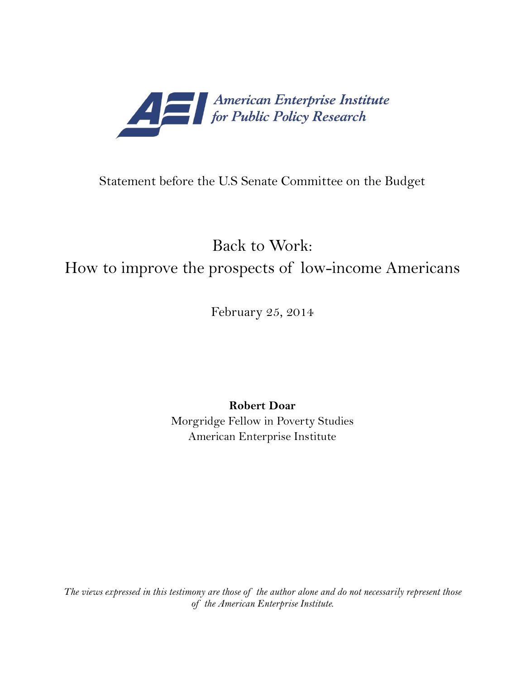

# Statement before the U.S Senate Committee on the Budget

# Back to Work: How to improve the prospects of low-income Americans

February 25, 2014

**Robert Doar**

Morgridge Fellow in Poverty Studies American Enterprise Institute

*The views expressed in this testimony are those of the author alone and do not necessarily represent those of the American Enterprise Institute.*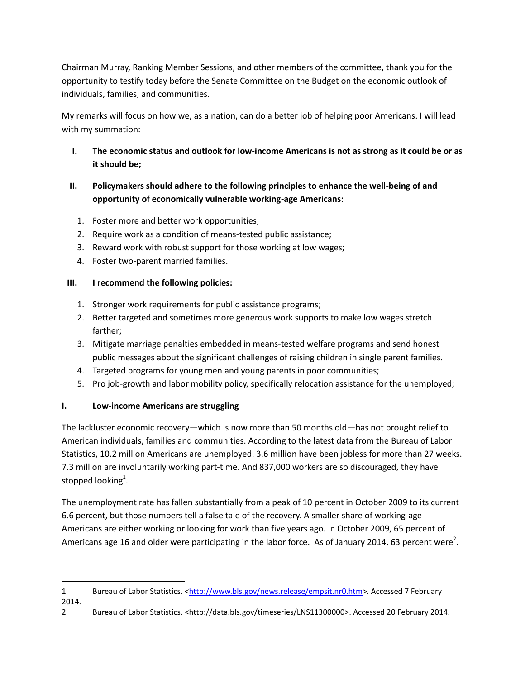Chairman Murray, Ranking Member Sessions, and other members of the committee, thank you for the opportunity to testify today before the Senate Committee on the Budget on the economic outlook of individuals, families, and communities.

My remarks will focus on how we, as a nation, can do a better job of helping poor Americans. I will lead with my summation:

- **I. The economic status and outlook for low-income Americans is not as strong as it could be or as it should be;**
- **II. Policymakers should adhere to the following principles to enhance the well-being of and opportunity of economically vulnerable working-age Americans:**
	- 1. Foster more and better work opportunities;
	- 2. Require work as a condition of means-tested public assistance;
	- 3. Reward work with robust support for those working at low wages;
	- 4. Foster two-parent married families.

# **III. I recommend the following policies:**

- 1. Stronger work requirements for public assistance programs;
- 2. Better targeted and sometimes more generous work supports to make low wages stretch farther;
- 3. Mitigate marriage penalties embedded in means-tested welfare programs and send honest public messages about the significant challenges of raising children in single parent families.
- 4. Targeted programs for young men and young parents in poor communities;
- 5. Pro job-growth and labor mobility policy, specifically relocation assistance for the unemployed;

# **I. Low-income Americans are struggling**

The lackluster economic recovery—which is now more than 50 months old—has not brought relief to American individuals, families and communities. According to the latest data from the Bureau of Labor Statistics, 10.2 million Americans are unemployed. 3.6 million have been jobless for more than 27 weeks. 7.3 million are involuntarily working part-time. And 837,000 workers are so discouraged, they have stopped looking<sup>1</sup>.

The unemployment rate has fallen substantially from a peak of 10 percent in October 2009 to its current 6.6 percent, but those numbers tell a false tale of the recovery. A smaller share of working-age Americans are either working or looking for work than five years ago. In October 2009, 65 percent of Americans age 16 and older were participating in the labor force. As of January 2014, 63 percent were<sup>2</sup>.

 $\overline{\phantom{a}}$ 1 Bureau of Labor Statistics. [<http://www.bls.gov/news.release/empsit.nr0.htm>](http://www.bls.gov/news.release/empsit.nr0.htm). Accessed 7 February 2014.

<sup>2</sup> Bureau of Labor Statistics. <http://data.bls.gov/timeseries/LNS11300000>. Accessed 20 February 2014.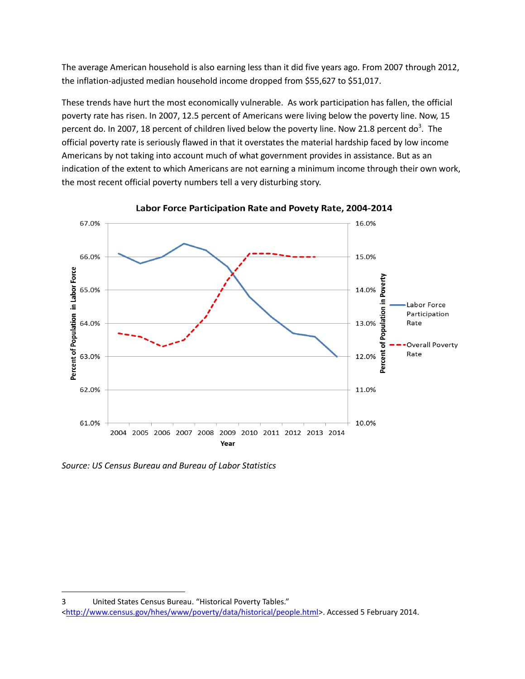The average American household is also earning less than it did five years ago. From 2007 through 2012, the inflation-adjusted median household income dropped from \$55,627 to \$51,017.

These trends have hurt the most economically vulnerable. As work participation has fallen, the official poverty rate has risen. In 2007, 12.5 percent of Americans were living below the poverty line. Now, 15 percent do. In 2007, 18 percent of children lived below the poverty line. Now 21.8 percent do<sup>3</sup>. The official poverty rate is seriously flawed in that it overstates the material hardship faced by low income Americans by not taking into account much of what government provides in assistance. But as an indication of the extent to which Americans are not earning a minimum income through their own work, the most recent official poverty numbers tell a very disturbing story.



Labor Force Participation Rate and Povety Rate, 2004-2014

*Source: US Census Bureau and Bureau of Labor Statistics*

l

<sup>3</sup> United States Census Bureau. "Historical Poverty Tables." [<http://www.census.gov/hhes/www/poverty/data/historical/people.html>](http://www.census.gov/hhes/www/poverty/data/historical/people.html). Accessed 5 February 2014.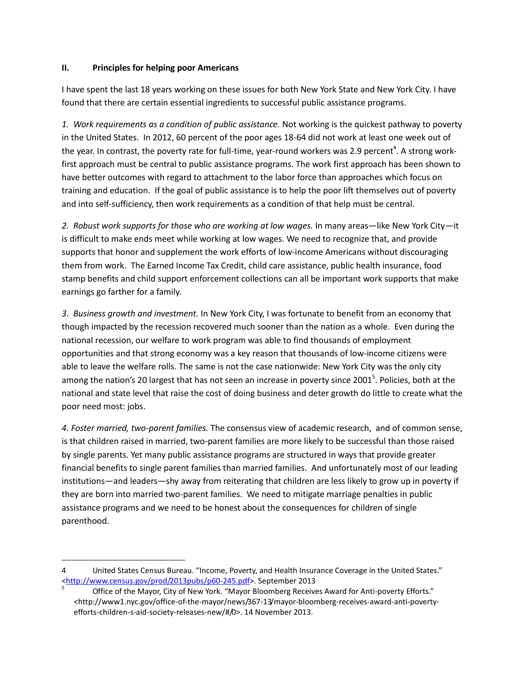#### **II. Principles for helping poor Americans**

l

I have spent the last 18 years working on these issues for both New York State and New York City. I have found that there are certain essential ingredients to successful public assistance programs.

*1. Work requirements as a condition of public assistance.* Not working is the quickest pathway to poverty in the United States. In 2012, 60 percent of the poor ages 18-64 did not work at least one week out of the year. In contrast, the poverty rate for full-time, year-round workers was 2.9 percent<sup>4</sup>. A strong workfirst approach must be central to public assistance programs. The work first approach has been shown to have better outcomes with regard to attachment to the labor force than approaches which focus on training and education. If the goal of public assistance is to help the poor lift themselves out of poverty and into self-sufficiency, then work requirements as a condition of that help must be central.

*2. Robust work supports for those who are working at low wages.* In many areas—like New York City—it is difficult to make ends meet while working at low wages. We need to recognize that, and provide supports that honor and supplement the work efforts of low-income Americans without discouraging them from work. The Earned Income Tax Credit, child care assistance, public health insurance, food stamp benefits and child support enforcement collections can all be important work supports that make earnings go farther for a family.

*3. Business growth and investment.* In New York City, I was fortunate to benefit from an economy that though impacted by the recession recovered much sooner than the nation as a whole. Even during the national recession, our welfare to work program was able to find thousands of employment opportunities and that strong economy was a key reason that thousands of low-income citizens were able to leave the welfare rolls. The same is not the case nationwide: New York City was the only city among the nation's 20 largest that has not seen an increase in poverty since 2001<sup>5</sup>. Policies, both at the national and state level that raise the cost of doing business and deter growth do little to create what the poor need most: jobs.

*4. Foster married, two-parent families.* The consensus view of academic research, and of common sense, is that children raised in married, two-parent families are more likely to be successful than those raised by single parents. Yet many public assistance programs are structured in ways that provide greater financial benefits to single parent families than married families. And unfortunately most of our leading institutions—and leaders—shy away from reiterating that children are less likely to grow up in poverty if they are born into married two-parent families. We need to mitigate marriage penalties in public assistance programs and we need to be honest about the consequences for children of single parenthood.

<sup>4</sup> United States Census Bureau. "Income, Poverty, and Health Insurance Coverage in the United States." [<http://www.census.gov/prod/2013pubs/p60-245.pdf>](http://www.census.gov/prod/2013pubs/p60-245.pdf). September 2013

<sup>5</sup> Office of the Mayor, City of New York. "Mayor Bloomberg Receives Award for Anti-poverty Efforts." <http://www1.nyc.gov/office-of-the-mayor/news/367-13/mayor-bloomberg-receives-award-anti-povertyefforts-children-s-aid-society-releases-new/#/0>. 14 November 2013.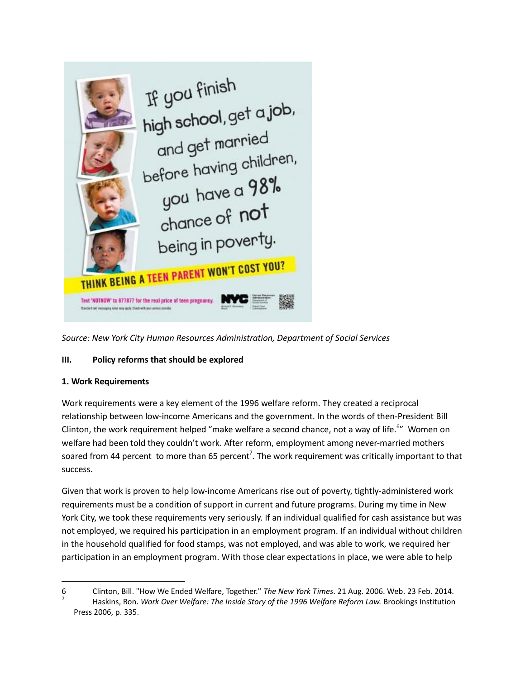

*Source: New York City Human Resources Administration, Department of Social Services*

#### **III. Policy reforms that should be explored**

#### **1. Work Requirements**

 $\overline{\phantom{a}}$ 

Work requirements were a key element of the 1996 welfare reform. They created a reciprocal relationship between low-income Americans and the government. In the words of then-President Bill Clinton, the work requirement helped "make welfare a second chance, not a way of life.<sup>6</sup>" Women on welfare had been told they couldn't work. After reform, employment among never-married mothers soared from 44 percent to more than 65 percent<sup>7</sup>. The work requirement was critically important to that success.

Given that work is proven to help low-income Americans rise out of poverty, tightly-administered work requirements must be a condition of support in current and future programs. During my time in New York City, we took these requirements very seriously. If an individual qualified for cash assistance but was not employed, we required his participation in an employment program. If an individual without children in the household qualified for food stamps, was not employed, and was able to work, we required her participation in an employment program. With those clear expectations in place, we were able to help

<sup>6</sup> Clinton, Bill. "How We Ended Welfare, Together." *The New York Times*. 21 Aug. 2006. Web. 23 Feb. 2014. 7 Haskins, Ron. *Work Over Welfare: The Inside Story of the 1996 Welfare Reform Law.* Brookings Institution Press 2006, p. 335.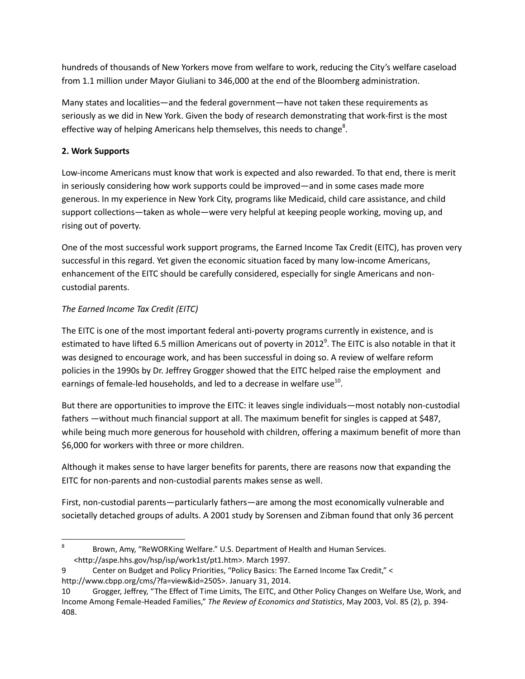hundreds of thousands of New Yorkers move from welfare to work, reducing the City's welfare caseload from 1.1 million under Mayor Giuliani to 346,000 at the end of the Bloomberg administration.

Many states and localities—and the federal government—have not taken these requirements as seriously as we did in New York. Given the body of research demonstrating that work-first is the most effective way of helping Americans help themselves, this needs to change<sup>8</sup>.

### **2. Work Supports**

Low-income Americans must know that work is expected and also rewarded. To that end, there is merit in seriously considering how work supports could be improved—and in some cases made more generous. In my experience in New York City, programs like Medicaid, child care assistance, and child support collections—taken as whole—were very helpful at keeping people working, moving up, and rising out of poverty.

One of the most successful work support programs, the Earned Income Tax Credit (EITC), has proven very successful in this regard. Yet given the economic situation faced by many low-income Americans, enhancement of the EITC should be carefully considered, especially for single Americans and noncustodial parents.

#### *The Earned Income Tax Credit (EITC)*

The EITC is one of the most important federal anti-poverty programs currently in existence, and is estimated to have lifted 6.5 million Americans out of poverty in 2012<sup>9</sup>. The EITC is also notable in that it was designed to encourage work, and has been successful in doing so. A review of welfare reform policies in the 1990s by Dr. Jeffrey Grogger showed that the EITC helped raise the employment and earnings of female-led households, and led to a decrease in welfare use $^{10}$ .

But there are opportunities to improve the EITC: it leaves single individuals—most notably non-custodial fathers —without much financial support at all. The maximum benefit for singles is capped at \$487, while being much more generous for household with children, offering a maximum benefit of more than \$6,000 for workers with three or more children.

Although it makes sense to have larger benefits for parents, there are reasons now that expanding the EITC for non-parents and non-custodial parents makes sense as well.

First, non-custodial parents—particularly fathers—are among the most economically vulnerable and societally detached groups of adults. A 2001 study by Sorensen and Zibman found that only 36 percent

- 9 Center on Budget and Policy Priorities, "Policy Basics: The Earned Income Tax Credit," < http://www.cbpp.org/cms/?fa=view&id=2505>. January 31, 2014.
- 10 Grogger, Jeffrey, "The Effect of Time Limits, The EITC, and Other Policy Changes on Welfare Use, Work, and Income Among Female-Headed Families," *The Review of Economics and Statistics*, May 2003, Vol. 85 (2), p. 394- 408.

<sup>-&</sup>lt;br>8 Brown, Amy, "ReWORKing Welfare." U.S. Department of Health and Human Services. <http://aspe.hhs.gov/hsp/isp/work1st/pt1.htm>. March 1997.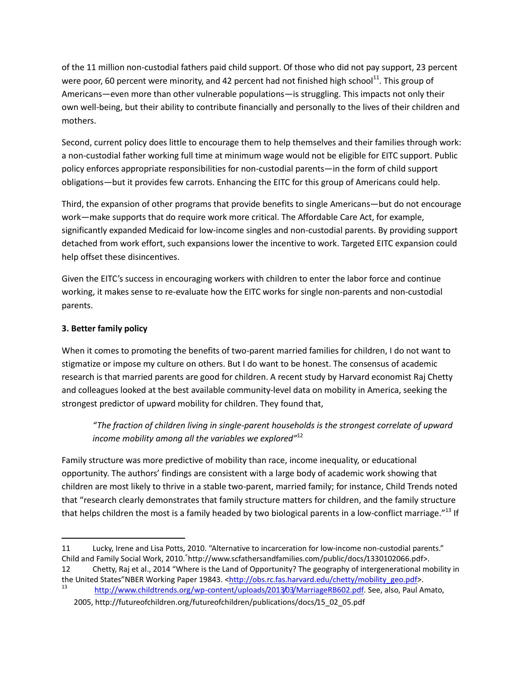of the 11 million non-custodial fathers paid child support. Of those who did not pay support, 23 percent were poor, 60 percent were minority, and 42 percent had not finished high school<sup>11</sup>. This group of Americans—even more than other vulnerable populations—is struggling. This impacts not only their own well-being, but their ability to contribute financially and personally to the lives of their children and mothers.

Second, current policy does little to encourage them to help themselves and their families through work: a non-custodial father working full time at minimum wage would not be eligible for EITC support. Public policy enforces appropriate responsibilities for non-custodial parents—in the form of child support obligations—but it provides few carrots. Enhancing the EITC for this group of Americans could help.

Third, the expansion of other programs that provide benefits to single Americans—but do not encourage work—make supports that do require work more critical. The Affordable Care Act, for example, significantly expanded Medicaid for low-income singles and non-custodial parents. By providing support detached from work effort, such expansions lower the incentive to work. Targeted EITC expansion could help offset these disincentives.

Given the EITC's success in encouraging workers with children to enter the labor force and continue working, it makes sense to re-evaluate how the EITC works for single non-parents and non-custodial parents.

#### **3. Better family policy**

 $\overline{\phantom{a}}$ 

When it comes to promoting the benefits of two-parent married families for children, I do not want to stigmatize or impose my culture on others. But I do want to be honest. The consensus of academic research is that married parents are good for children. A recent study by Harvard economist Raj Chetty and colleagues looked at the best available community-level data on mobility in America, seeking the strongest predictor of upward mobility for children. They found that,

*"The fraction of children living in single-parent households is the strongest correlate of upward income mobility among all the variables we explored"*<sup>12</sup>

Family structure was more predictive of mobility than race, income inequality, or educational opportunity. The authors' findings are consistent with a large body of academic work showing that children are most likely to thrive in a stable two-parent, married family; for instance, Child Trends noted that "research clearly demonstrates that family structure matters for children, and the family structure that helps children the most is a family headed by two biological parents in a low-conflict marriage."<sup>13</sup> If

12 Chetty, Raj et al., 2014 "Where is the Land of Opportunity? The geography of intergenerational mobility in the United States"NBER Working Paper 19843. [<http://obs.rc.fas.harvard.edu/chetty/mobility\\_geo.pdf>](http://obs.rc.fas.harvard.edu/chetty/mobility_geo.pdf).

<sup>11</sup> Lucky, Irene and Lisa Potts, 2010. "Alternative to incarceration for low-income non-custodial parents." Child and Family Social Work, 2010. http://www.scfathersandfamilies.com/public/docs/1330102066.pdf>.

[http://www.childtrends.org/wp-content/uploads/2013/03/MarriageRB602.pdf.](http://www.childtrends.org/wp-content/uploads/2013/03/MarriageRB602.pdf) See, also, Paul Amato, 2005, http://futureofchildren.org/futureofchildren/publications/docs/15\_02\_05.pdf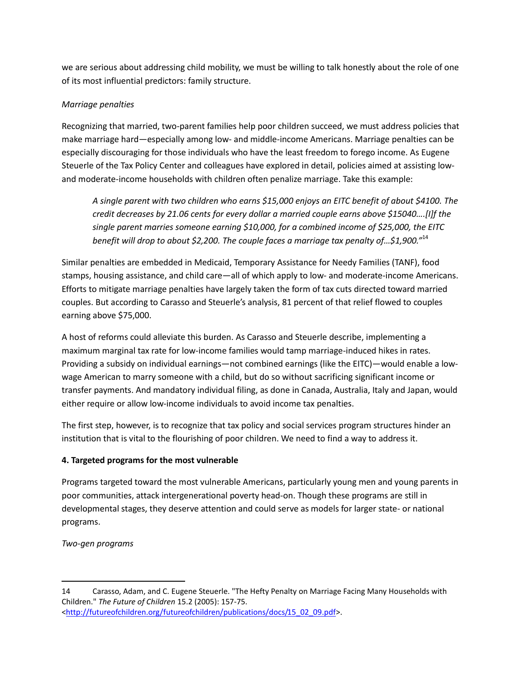we are serious about addressing child mobility, we must be willing to talk honestly about the role of one of its most influential predictors: family structure.

#### *Marriage penalties*

Recognizing that married, two-parent families help poor children succeed, we must address policies that make marriage hard—especially among low- and middle-income Americans. Marriage penalties can be especially discouraging for those individuals who have the least freedom to forego income. As Eugene Steuerle of the Tax Policy Center and colleagues have explored in detail, policies aimed at assisting lowand moderate-income households with children often penalize marriage. Take this example:

*A single parent with two children who earns \$15,000 enjoys an EITC benefit of about \$4100. The credit decreases by 21.06 cents for every dollar a married couple earns above \$15040….[I]f the single parent marries someone earning \$10,000, for a combined income of \$25,000, the EITC benefit will drop to about \$2,200. The couple faces a marriage tax penalty of…\$1,900."*<sup>14</sup>

Similar penalties are embedded in Medicaid, Temporary Assistance for Needy Families (TANF), food stamps, housing assistance, and child care—all of which apply to low- and moderate-income Americans. Efforts to mitigate marriage penalties have largely taken the form of tax cuts directed toward married couples. But according to Carasso and Steuerle's analysis, 81 percent of that relief flowed to couples earning above \$75,000.

A host of reforms could alleviate this burden. As Carasso and Steuerle describe, implementing a maximum marginal tax rate for low-income families would tamp marriage-induced hikes in rates. Providing a subsidy on individual earnings—not combined earnings (like the EITC)—would enable a lowwage American to marry someone with a child, but do so without sacrificing significant income or transfer payments. And mandatory individual filing, as done in Canada, Australia, Italy and Japan, would either require or allow low-income individuals to avoid income tax penalties.

The first step, however, is to recognize that tax policy and social services program structures hinder an institution that is vital to the flourishing of poor children. We need to find a way to address it.

# **4. Targeted programs for the most vulnerable**

Programs targeted toward the most vulnerable Americans, particularly young men and young parents in poor communities, attack intergenerational poverty head-on. Though these programs are still in developmental stages, they deserve attention and could serve as models for larger state- or national programs.

*Two-gen programs*

 $\overline{\phantom{a}}$ 

<sup>14</sup> Carasso, Adam, and C. Eugene Steuerle. "The Hefty Penalty on Marriage Facing Many Households with Children." *The Future of Children* 15.2 (2005): 157-75. [<http://futureofchildren.org/futureofchildren/publications/docs/15\\_02\\_09.pdf>](http://futureofchildren.org/futureofchildren/publications/docs/15_02_09.pdf).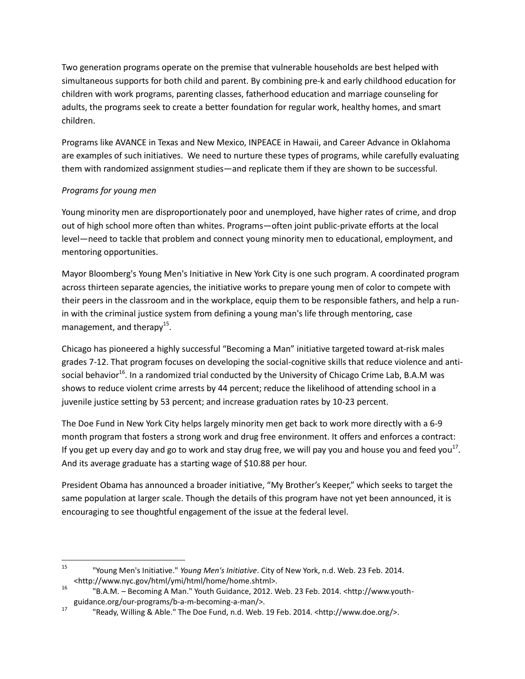Two generation programs operate on the premise that vulnerable households are best helped with simultaneous supports for both child and parent. By combining pre-k and early childhood education for children with work programs, parenting classes, fatherhood education and marriage counseling for adults, the programs seek to create a better foundation for regular work, healthy homes, and smart children.

Programs like AVANCE in Texas and New Mexico, INPEACE in Hawaii, and Career Advance in Oklahoma are examples of such initiatives. We need to nurture these types of programs, while carefully evaluating them with randomized assignment studies—and replicate them if they are shown to be successful.

#### *Programs for young men*

Young minority men are disproportionately poor and unemployed, have higher rates of crime, and drop out of high school more often than whites. Programs—often joint public-private efforts at the local level—need to tackle that problem and connect young minority men to educational, employment, and mentoring opportunities.

Mayor Bloomberg's Young Men's Initiative in New York City is one such program. A coordinated program across thirteen separate agencies, the initiative works to prepare young men of color to compete with their peers in the classroom and in the workplace, equip them to be responsible fathers, and help a runin with the criminal justice system from defining a young man's life through mentoring, case management, and therapy<sup>15</sup>.

Chicago has pioneered a highly successful "Becoming a Man" initiative targeted toward at-risk males grades 7-12. That program focuses on developing the social-cognitive skills that reduce violence and antisocial behavior<sup>16</sup>. In a randomized trial conducted by the University of Chicago Crime Lab, B.A.M was shows to reduce violent crime arrests by 44 percent; reduce the likelihood of attending school in a juvenile justice setting by 53 percent; and increase graduation rates by 10-23 percent.

The Doe Fund in New York City helps largely minority men get back to work more directly with a 6-9 month program that fosters a strong work and drug free environment. It offers and enforces a contract: If you get up every day and go to work and stay drug free, we will pay you and house you and feed you<sup>17</sup>. And its average graduate has a starting wage of \$10.88 per hour.

President Obama has announced a broader initiative, "My Brother's Keeper," which seeks to target the same population at larger scale. Though the details of this program have not yet been announced, it is encouraging to see thoughtful engagement of the issue at the federal level.

l <sup>15</sup> "Young Men's Initiative." *Young Men's Initiative*. City of New York, n.d. Web. 23 Feb. 2014. <http://www.nyc.gov/html/ymi/html/home/home.shtml>.

<sup>16</sup> "B.A.M. – Becoming A Man." Youth Guidance, 2012. Web. 23 Feb. 2014. <http://www.youthguidance.org/our-programs/b-a-m-becoming-a-man/>.

<sup>17</sup> "Ready, Willing & Able." The Doe Fund, n.d. Web. 19 Feb. 2014. <http://www.doe.org/>.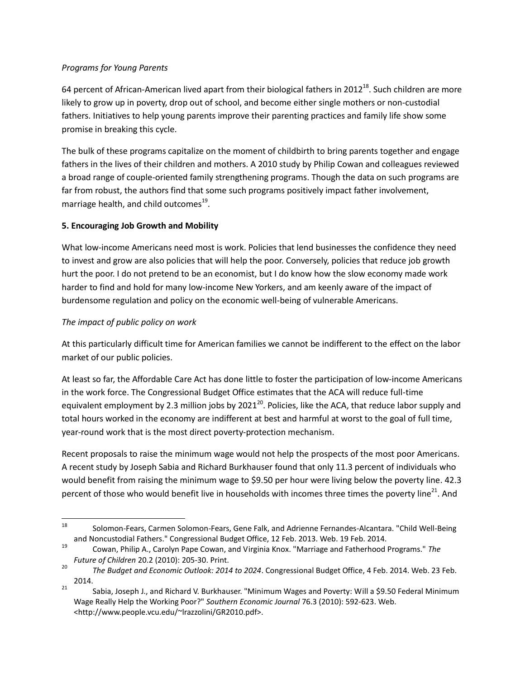#### *Programs for Young Parents*

64 percent of African-American lived apart from their biological fathers in 2012<sup>18</sup>. Such children are more likely to grow up in poverty, drop out of school, and become either single mothers or non-custodial fathers. Initiatives to help young parents improve their parenting practices and family life show some promise in breaking this cycle.

The bulk of these programs capitalize on the moment of childbirth to bring parents together and engage fathers in the lives of their children and mothers. A 2010 study by Philip Cowan and colleagues reviewed a broad range of couple-oriented family strengthening programs. Though the data on such programs are far from robust, the authors find that some such programs positively impact father involvement, marriage health, and child outcomes $^{19}$ .

#### **5. Encouraging Job Growth and Mobility**

What low-income Americans need most is work. Policies that lend businesses the confidence they need to invest and grow are also policies that will help the poor. Conversely, policies that reduce job growth hurt the poor. I do not pretend to be an economist, but I do know how the slow economy made work harder to find and hold for many low-income New Yorkers, and am keenly aware of the impact of burdensome regulation and policy on the economic well-being of vulnerable Americans.

#### *The impact of public policy on work*

At this particularly difficult time for American families we cannot be indifferent to the effect on the labor market of our public policies.

At least so far, the Affordable Care Act has done little to foster the participation of low-income Americans in the work force. The Congressional Budget Office estimates that the ACA will reduce full-time equivalent employment by 2.3 million jobs by 2021<sup>20</sup>. Policies, like the ACA, that reduce labor supply and total hours worked in the economy are indifferent at best and harmful at worst to the goal of full time, year-round work that is the most direct poverty-protection mechanism.

Recent proposals to raise the minimum wage would not help the prospects of the most poor Americans. A recent study by Joseph Sabia and Richard Burkhauser found that only 11.3 percent of individuals who would benefit from raising the minimum wage to \$9.50 per hour were living below the poverty line. 42.3 percent of those who would benefit live in households with incomes three times the poverty line<sup>21</sup>. And

<sup>18</sup> <sup>18</sup> Solomon-Fears, Carmen Solomon-Fears, Gene Falk, and Adrienne Fernandes-Alcantara. "Child Well-Being and Noncustodial Fathers." Congressional Budget Office, 12 Feb. 2013. Web. 19 Feb. 2014.

<sup>19</sup> Cowan, Philip A., Carolyn Pape Cowan, and Virginia Knox. "Marriage and Fatherhood Programs." *The Future of Children* 20.2 (2010): 205-30. Print.

<sup>20</sup> *The Budget and Economic Outlook: 2014 to 2024*. Congressional Budget Office, 4 Feb. 2014. Web. 23 Feb. 2014.

<sup>&</sup>lt;sup>21</sup> Sabia, Joseph J., and Richard V. Burkhauser. "Minimum Wages and Poverty: Will a \$9.50 Federal Minimum Wage Really Help the Working Poor?" *Southern Economic Journal* 76.3 (2010): 592-623. Web. <http://www.people.vcu.edu/~lrazzolini/GR2010.pdf>.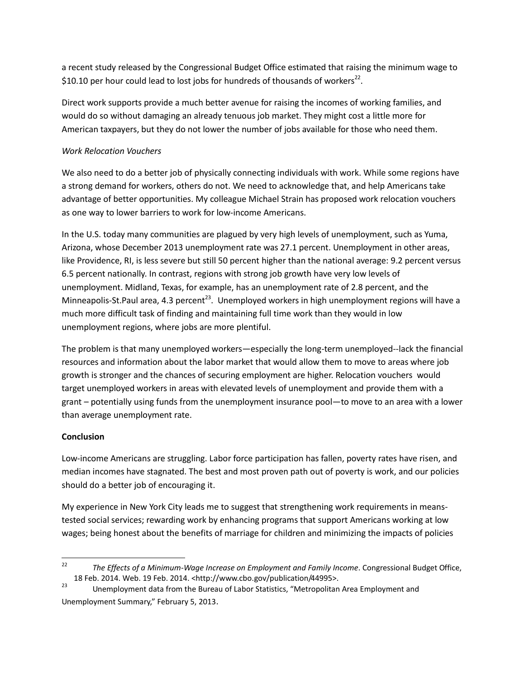a recent study released by the Congressional Budget Office estimated that raising the minimum wage to \$10.10 per hour could lead to lost jobs for hundreds of thousands of workers<sup>22</sup>.

Direct work supports provide a much better avenue for raising the incomes of working families, and would do so without damaging an already tenuous job market. They might cost a little more for American taxpayers, but they do not lower the number of jobs available for those who need them.

#### *Work Relocation Vouchers*

We also need to do a better job of physically connecting individuals with work. While some regions have a strong demand for workers, others do not. We need to acknowledge that, and help Americans take advantage of better opportunities. My colleague Michael Strain has proposed work relocation vouchers as one way to lower barriers to work for low-income Americans.

In the U.S. today many communities are plagued by very high levels of unemployment, such as Yuma, Arizona, whose December 2013 unemployment rate was 27.1 percent. Unemployment in other areas, like Providence, RI, is less severe but still 50 percent higher than the national average: 9.2 percent versus 6.5 percent nationally. In contrast, regions with strong job growth have very low levels of unemployment. Midland, Texas, for example, has an unemployment rate of 2.8 percent, and the Minneapolis-St.Paul area, 4.3 percent<sup>23</sup>. Unemployed workers in high unemployment regions will have a much more difficult task of finding and maintaining full time work than they would in low unemployment regions, where jobs are more plentiful.

The problem is that many unemployed workers—especially the long-term unemployed--lack the financial resources and information about the labor market that would allow them to move to areas where job growth is stronger and the chances of securing employment are higher. Relocation vouchers would target unemployed workers in areas with elevated levels of unemployment and provide them with a grant – potentially using funds from the unemployment insurance pool—to move to an area with a lower than average unemployment rate.

#### **Conclusion**

Low-income Americans are struggling. Labor force participation has fallen, poverty rates have risen, and median incomes have stagnated. The best and most proven path out of poverty is work, and our policies should do a better job of encouraging it.

My experience in New York City leads me to suggest that strengthening work requirements in meanstested social services; rewarding work by enhancing programs that support Americans working at low wages; being honest about the benefits of marriage for children and minimizing the impacts of policies

 $22$ <sup>22</sup> *The Effects of a Minimum-Wage Increase on Employment and Family Income*. Congressional Budget Office, 18 Feb. 2014. Web. 19 Feb. 2014. <http://www.cbo.gov/publication/44995>.

<sup>23</sup> Unemployment data from the Bureau of Labor Statistics, "Metropolitan Area Employment and Unemployment Summary," February 5, 2013.